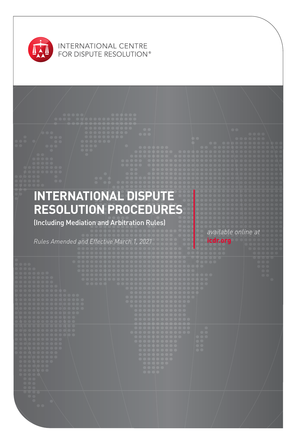

**INTERNATIONAL CENTRE** FOR DISPUTE RESOLUTION®

# **INTERNATIONAL DISPUTE RESOLUTION PROCEDURES**

(Including Mediation and Arbitration Rules)

*Rules Amended and Effective March 1, 2021*

*available online at* **icdr.org**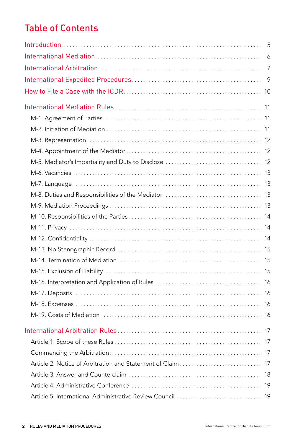# Table of Contents

| Introduction 5                                             |  |
|------------------------------------------------------------|--|
|                                                            |  |
|                                                            |  |
|                                                            |  |
|                                                            |  |
|                                                            |  |
|                                                            |  |
|                                                            |  |
|                                                            |  |
|                                                            |  |
|                                                            |  |
|                                                            |  |
|                                                            |  |
|                                                            |  |
|                                                            |  |
|                                                            |  |
|                                                            |  |
|                                                            |  |
|                                                            |  |
|                                                            |  |
|                                                            |  |
|                                                            |  |
|                                                            |  |
|                                                            |  |
|                                                            |  |
|                                                            |  |
|                                                            |  |
|                                                            |  |
|                                                            |  |
|                                                            |  |
|                                                            |  |
| Article 5: International Administrative Review Council  19 |  |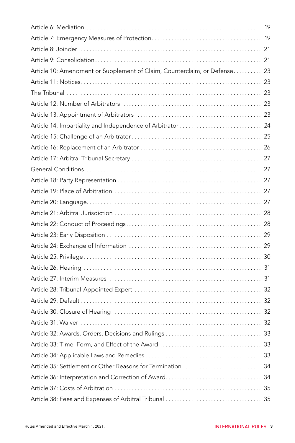| Article 10: Amendment or Supplement of Claim, Counterclaim, or Defense 23 |  |
|---------------------------------------------------------------------------|--|
|                                                                           |  |
|                                                                           |  |
|                                                                           |  |
|                                                                           |  |
| Article 14: Impartiality and Independence of Arbitrator  24               |  |
|                                                                           |  |
|                                                                           |  |
|                                                                           |  |
|                                                                           |  |
|                                                                           |  |
|                                                                           |  |
|                                                                           |  |
|                                                                           |  |
|                                                                           |  |
|                                                                           |  |
|                                                                           |  |
|                                                                           |  |
|                                                                           |  |
|                                                                           |  |
|                                                                           |  |
|                                                                           |  |
|                                                                           |  |
|                                                                           |  |
|                                                                           |  |
|                                                                           |  |
|                                                                           |  |
|                                                                           |  |
|                                                                           |  |
|                                                                           |  |
|                                                                           |  |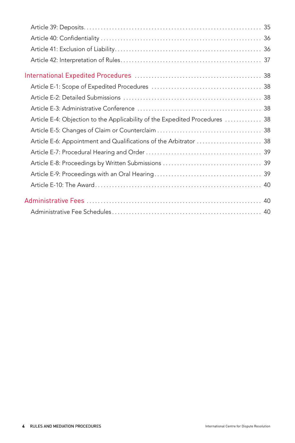| Article E-4: Objection to the Applicability of the Expedited Procedures  38 |
|-----------------------------------------------------------------------------|
|                                                                             |
|                                                                             |
|                                                                             |
|                                                                             |
|                                                                             |
|                                                                             |
|                                                                             |
|                                                                             |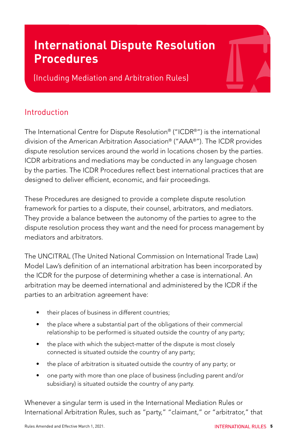# <span id="page-4-0"></span>**International Dispute Resolution Procedures**

(Including Mediation and Arbitration Rules)

# Introduction

The International Centre for Dispute Resolution® ("ICDR®") is the international division of the American Arbitration Association® ("AAA®"). The ICDR provides dispute resolution services around the world in locations chosen by the parties. ICDR arbitrations and mediations may be conducted in any language chosen by the parties. The ICDR Procedures reflect best international practices that are designed to deliver efficient, economic, and fair proceedings.

These Procedures are designed to provide a complete dispute resolution framework for parties to a dispute, their counsel, arbitrators, and mediators. They provide a balance between the autonomy of the parties to agree to the dispute resolution process they want and the need for process management by mediators and arbitrators.

The UNCITRAL (The United National Commission on International Trade Law) Model Law's definition of an international arbitration has been incorporated by the ICDR for the purpose of determining whether a case is international. An arbitration may be deemed international and administered by the ICDR if the parties to an arbitration agreement have:

- their places of business in different countries;
- the place where a substantial part of the obligations of their commercial relationship to be performed is situated outside the country of any party;
- the place with which the subject-matter of the dispute is most closely connected is situated outside the country of any party;
- the place of arbitration is situated outside the country of any party; or
- one party with more than one place of business (including parent and/or subsidiary) is situated outside the country of any party.

Whenever a singular term is used in the International Mediation Rules or International Arbitration Rules, such as "party," "claimant," or "arbitrator," that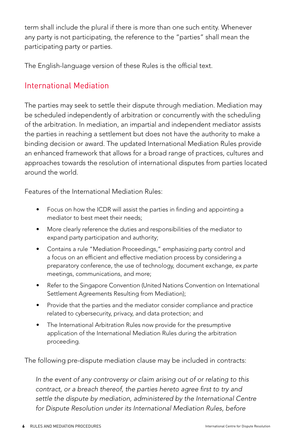<span id="page-5-0"></span>term shall include the plural if there is more than one such entity. Whenever any party is not participating, the reference to the "parties" shall mean the participating party or parties.

The English-language version of these Rules is the official text.

# International Mediation

The parties may seek to settle their dispute through mediation. Mediation may be scheduled independently of arbitration or concurrently with the scheduling of the arbitration. In mediation, an impartial and independent mediator assists the parties in reaching a settlement but does not have the authority to make a binding decision or award. The updated International Mediation Rules provide an enhanced framework that allows for a broad range of practices, cultures and approaches towards the resolution of international disputes from parties located around the world.

Features of the International Mediation Rules:

- Focus on how the ICDR will assist the parties in finding and appointing a mediator to best meet their needs;
- More clearly reference the duties and responsibilities of the mediator to expand party participation and authority;
- Contains a rule "Mediation Proceedings," emphasizing party control and a focus on an efficient and effective mediation process by considering a preparatory conference, the use of technology, document exchange, *ex parte* meetings, communications, and more;
- Refer to the Singapore Convention (United Nations Convention on International Settlement Agreements Resulting from Mediation);
- Provide that the parties and the mediator consider compliance and practice related to cybersecurity, privacy, and data protection; and
- The International Arbitration Rules now provide for the presumptive application of the International Mediation Rules during the arbitration proceeding.

The following pre-dispute mediation clause may be included in contracts:

*In the event of any controversy or claim arising out of or relating to this contract, or a breach thereof, the parties hereto agree first to try and settle the dispute by mediation, administered by the International Centre for Dispute Resolution under its International Mediation Rules, before*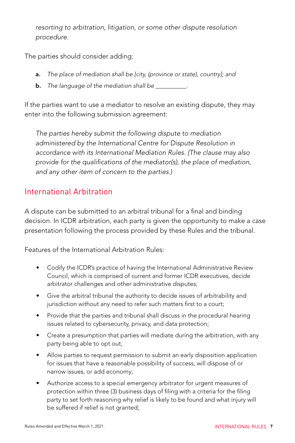<span id="page-6-0"></span>*resorting to arbitration, litigation, or some other dispute resolution procedure.* 

The parties should consider adding:

- a. *The place of mediation shall be [city, (province or state), country]; and*
- **b.** The language of the mediation shall be  $\blacksquare$ .

If the parties want to use a mediator to resolve an existing dispute, they may enter into the following submission agreement:

*The parties hereby submit the following dispute to mediation administered by the International Centre for Dispute Resolution in accordance with its International Mediation Rules. (The clause may also provide for the qualifications of the mediator(s), the place of mediation, and any other item of concern to the parties.)*

# International Arbitration

A dispute can be submitted to an arbitral tribunal for a final and binding decision. In ICDR arbitration, each party is given the opportunity to make a case presentation following the process provided by these Rules and the tribunal.

Features of the International Arbitration Rules:

- Codify the ICDR's practice of having the International Administrative Review Council, which is comprised of current and former ICDR executives, decide arbitrator challenges and other administrative disputes;
- Give the arbitral tribunal the authority to decide issues of arbitrability and jurisdiction without any need to refer such matters first to a court;
- Provide that the parties and tribunal shall discuss in the procedural hearing issues related to cybersecurity, privacy, and data protection;
- Create a presumption that parties will mediate during the arbitration, with any party being able to opt out;
- Allow parties to request permission to submit an early disposition application for issues that have a reasonable possibility of success, will dispose of or narrow issues, or add economy;
- Authorize access to a special emergency arbitrator for urgent measures of protection within three (3) business days of filing with a criteria for the filing party to set forth reasoning why relief is likely to be found and what injury will be suffered if relief is not granted;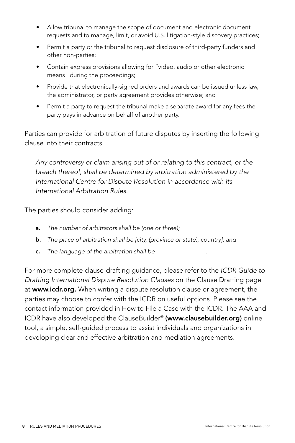- Allow tribunal to manage the scope of document and electronic document requests and to manage, limit, or avoid U.S. litigation-style discovery practices;
- Permit a party or the tribunal to request disclosure of third-party funders and other non-parties;
- Contain express provisions allowing for "video, audio or other electronic means" during the proceedings;
- Provide that electronically-signed orders and awards can be issued unless law, the administrator, or party agreement provides otherwise; and
- Permit a party to request the tribunal make a separate award for any fees the party pays in advance on behalf of another party.

Parties can provide for arbitration of future disputes by inserting the following clause into their contracts:

*Any controversy or claim arising out of or relating to this contract, or the breach thereof, shall be determined by arbitration administered by the International Centre for Dispute Resolution in accordance with its International Arbitration Rules.* 

The parties should consider adding:

- a. *The number of arbitrators shall be (one or three);*
- b. *The place of arbitration shall be [city, (province or state), country]; and*
- c. *The language of the arbitration shall be \_\_\_\_\_\_\_\_\_\_\_\_\_\_\_\_.*

For more complete clause-drafting guidance, please refer to the *ICDR Guide to Drafting International Dispute Resolution Clauses* on the Clause Drafting page at [www.icdr.org.](http://www.icdr.org) When writing a dispute resolution clause or agreement, the parties may choose to confer with the ICDR on useful options. Please see the contact information provided in How to File a Case with the ICDR. The AAA and ICDR have also developed the ClauseBuilder® [\(www.clausebuilder.org](http://www.clausebuilder.org)) online tool, a simple, self-guided process to assist individuals and organizations in developing clear and effective arbitration and mediation agreements.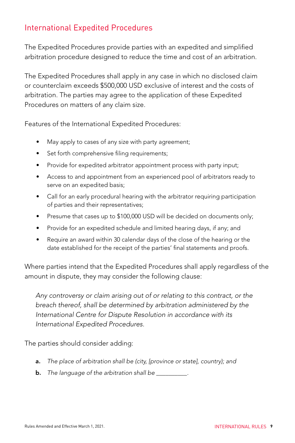# <span id="page-8-0"></span>International Expedited Procedures

The Expedited Procedures provide parties with an expedited and simplified arbitration procedure designed to reduce the time and cost of an arbitration.

The Expedited Procedures shall apply in any case in which no disclosed claim or counterclaim exceeds \$500,000 USD exclusive of interest and the costs of arbitration. The parties may agree to the application of these Expedited Procedures on matters of any claim size.

Features of the International Expedited Procedures:

- May apply to cases of any size with party agreement;
- Set forth comprehensive filing requirements;
- Provide for expedited arbitrator appointment process with party input;
- Access to and appointment from an experienced pool of arbitrators ready to serve on an expedited basis;
- Call for an early procedural hearing with the arbitrator requiring participation of parties and their representatives;
- Presume that cases up to \$100,000 USD will be decided on documents only;
- Provide for an expedited schedule and limited hearing days, if any; and
- Require an award within 30 calendar days of the close of the hearing or the date established for the receipt of the parties' final statements and proofs.

Where parties intend that the Expedited Procedures shall apply regardless of the amount in dispute, they may consider the following clause:

*Any controversy or claim arising out of or relating to this contract, or the breach thereof, shall be determined by arbitration administered by the International Centre for Dispute Resolution in accordance with its International Expedited Procedures.*

The parties should consider adding:

- a. *The place of arbitration shall be (city, [province or state], country); and*
- **b.** The language of the arbitration shall be  $\blacksquare$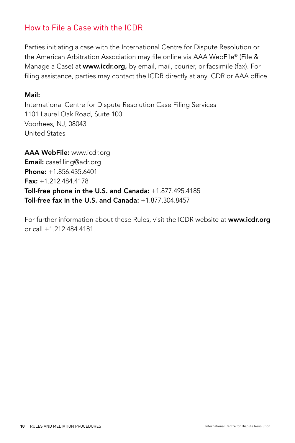# <span id="page-9-0"></span>How to File a Case with the ICDR

Parties initiating a case with the International Centre for Dispute Resolution or the American Arbitration Association may file online via AAA WebFile® (File & Manage a Case) at [www.icdr.org](http://www.icdr.org), by email, mail, courier, or facsimile (fax). For filing assistance, parties may contact the ICDR directly at any ICDR or AAA office.

#### Mail:

International Centre for Dispute Resolution Case Filing Services 1101 Laurel Oak Road, Suite 100 Voorhees, NJ, 08043 United States

AAA WebFile: [www.icdr.org](http://www.icdr.org) Email: [casefiling@adr.org](mailto:casefiling@adr.org) **Phone:** +1.856.435.6401 Fax: +1.212.484.4178 Toll-free phone in the U.S. and Canada: +1.877.495.4185 Toll-free fax in the U.S. and Canada: +1.877.304.8457

For further information about these Rules, visit the ICDR website at [www.icdr.org](http://www.icdr.org) or call +1.212.484.4181.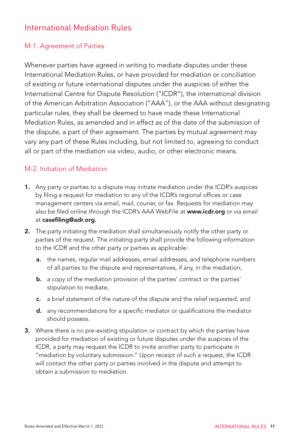# <span id="page-10-0"></span>International Mediation Rules

## M-1. Agreement of Parties

Whenever parties have agreed in writing to mediate disputes under these International Mediation Rules, or have provided for mediation or conciliation of existing or future international disputes under the auspices of either the International Centre for Dispute Resolution ("ICDR"), the international division of the American Arbitration Association ("AAA"), or the AAA without designating particular rules, they shall be deemed to have made these International Mediation Rules, as amended and in effect as of the date of the submission of the dispute, a part of their agreement. The parties by mutual agreement may vary any part of these Rules including, but not limited to, agreeing to conduct all or part of the mediation via video, audio, or other electronic means.

#### M-2. Initiation of Mediation

- 1. Any party or parties to a dispute may initiate mediation under the ICDR's auspices by filing a request for mediation to any of the ICDR's regional offices or case management centers via email, mail, courier, or fax. Requests for mediation may also be filed online through the ICDR's AAA WebFile at www.icdr.org or via email at [casefiling@adr.org.](mailto:casefiling@adr.org)
- 2. The party initiating the mediation shall simultaneously notify the other party or parties of the request. The initiating party shall provide the following information to the ICDR and the other party or parties as applicable:
	- a. the names, regular mail addresses, email addresses, and telephone numbers of all parties to the dispute and representatives, if any, in the mediation;
	- **b.** a copy of the mediation provision of the parties' contract or the parties' stipulation to mediate;
	- c. a brief statement of the nature of the dispute and the relief requested; and
	- d. any recommendations for a specific mediator or qualifications the mediator should possess.
- **3.** Where there is no pre-existing stipulation or contract by which the parties have provided for mediation of existing or future disputes under the auspices of the ICDR, a party may request the ICDR to invite another party to participate in "mediation by voluntary submission." Upon receipt of such a request, the ICDR will contact the other party or parties involved in the dispute and attempt to obtain a submission to mediation.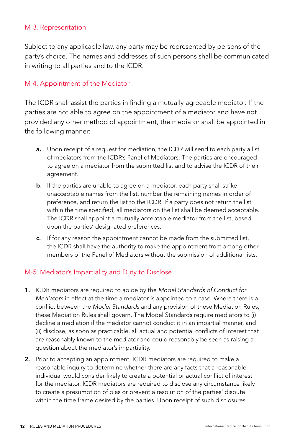#### <span id="page-11-0"></span>M-3. Representation

Subject to any applicable law, any party may be represented by persons of the party's choice. The names and addresses of such persons shall be communicated in writing to all parties and to the ICDR.

#### M-4. Appointment of the Mediator

The ICDR shall assist the parties in finding a mutually agreeable mediator. If the parties are not able to agree on the appointment of a mediator and have not provided any other method of appointment, the mediator shall be appointed in the following manner:

- a. Upon receipt of a request for mediation, the ICDR will send to each party a list of mediators from the ICDR's Panel of Mediators. The parties are encouraged to agree on a mediator from the submitted list and to advise the ICDR of their agreement.
- **b.** If the parties are unable to agree on a mediator, each party shall strike unacceptable names from the list, number the remaining names in order of preference, and return the list to the ICDR. If a party does not return the list within the time specified, all mediators on the list shall be deemed acceptable. The ICDR shall appoint a mutually acceptable mediator from the list, based upon the parties' designated preferences.
- c. If for any reason the appointment cannot be made from the submitted list, the ICDR shall have the authority to make the appointment from among other members of the Panel of Mediators without the submission of additional lists.

#### M-5. Mediator's Impartiality and Duty to Disclose

- 1. ICDR mediators are required to abide by the *Model Standards of Conduct for Mediators* in effect at the time a mediator is appointed to a case. Where there is a conflict between the *Model Standards* and any provision of these Mediation Rules, these Mediation Rules shall govern. The Model Standards require mediators to (i) decline a mediation if the mediator cannot conduct it in an impartial manner, and (ii) disclose, as soon as practicable, all actual and potential conflicts of interest that are reasonably known to the mediator and could reasonably be seen as raising a question about the mediator's impartiality.
- 2. Prior to accepting an appointment, ICDR mediators are required to make a reasonable inquiry to determine whether there are any facts that a reasonable individual would consider likely to create a potential or actual conflict of interest for the mediator. ICDR mediators are required to disclose any circumstance likely to create a presumption of bias or prevent a resolution of the parties' dispute within the time frame desired by the parties. Upon receipt of such disclosures,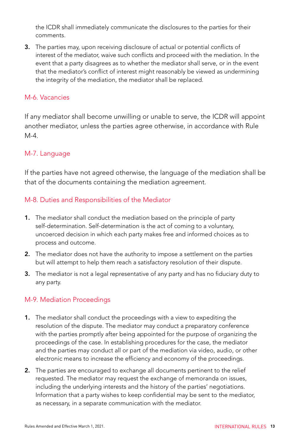<span id="page-12-0"></span>the ICDR shall immediately communicate the disclosures to the parties for their comments.

3. The parties may, upon receiving disclosure of actual or potential conflicts of interest of the mediator, waive such conflicts and proceed with the mediation. In the event that a party disagrees as to whether the mediator shall serve, or in the event that the mediator's conflict of interest might reasonably be viewed as undermining the integrity of the mediation, the mediator shall be replaced.

#### M-6. Vacancies

If any mediator shall become unwilling or unable to serve, the ICDR will appoint another mediator, unless the parties agree otherwise, in accordance with Rule M-4.

#### M-7. Language

If the parties have not agreed otherwise, the language of the mediation shall be that of the documents containing the mediation agreement.

#### M-8. Duties and Responsibilities of the Mediator

- 1. The mediator shall conduct the mediation based on the principle of party self-determination. Self-determination is the act of coming to a voluntary, uncoerced decision in which each party makes free and informed choices as to process and outcome.
- 2. The mediator does not have the authority to impose a settlement on the parties but will attempt to help them reach a satisfactory resolution of their dispute.
- 3. The mediator is not a legal representative of any party and has no fiduciary duty to any party.

#### M-9. Mediation Proceedings

- 1. The mediator shall conduct the proceedings with a view to expediting the resolution of the dispute. The mediator may conduct a preparatory conference with the parties promptly after being appointed for the purpose of organizing the proceedings of the case. In establishing procedures for the case, the mediator and the parties may conduct all or part of the mediation via video, audio, or other electronic means to increase the efficiency and economy of the proceedings.
- 2. The parties are encouraged to exchange all documents pertinent to the relief requested. The mediator may request the exchange of memoranda on issues, including the underlying interests and the history of the parties' negotiations. Information that a party wishes to keep confidential may be sent to the mediator, as necessary, in a separate communication with the mediator.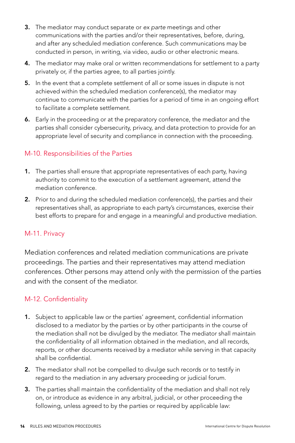- <span id="page-13-0"></span>3. The mediator may conduct separate or *ex parte* meetings and other communications with the parties and/or their representatives, before, during, and after any scheduled mediation conference. Such communications may be conducted in person, in writing, via video, audio or other electronic means.
- 4. The mediator may make oral or written recommendations for settlement to a party privately or, if the parties agree, to all parties jointly.
- 5. In the event that a complete settlement of all or some issues in dispute is not achieved within the scheduled mediation conference(s), the mediator may continue to communicate with the parties for a period of time in an ongoing effort to facilitate a complete settlement.
- 6. Early in the proceeding or at the preparatory conference, the mediator and the parties shall consider cybersecurity, privacy, and data protection to provide for an appropriate level of security and compliance in connection with the proceeding.

## M-10. Responsibilities of the Parties

- 1. The parties shall ensure that appropriate representatives of each party, having authority to commit to the execution of a settlement agreement, attend the mediation conference.
- 2. Prior to and during the scheduled mediation conference(s), the parties and their representatives shall, as appropriate to each party's circumstances, exercise their best efforts to prepare for and engage in a meaningful and productive mediation.

#### M-11. Privacy

Mediation conferences and related mediation communications are private proceedings. The parties and their representatives may attend mediation conferences. Other persons may attend only with the permission of the parties and with the consent of the mediator.

# M-12. Confidentiality

- 1. Subject to applicable law or the parties' agreement, confidential information disclosed to a mediator by the parties or by other participants in the course of the mediation shall not be divulged by the mediator. The mediator shall maintain the confidentiality of all information obtained in the mediation, and all records, reports, or other documents received by a mediator while serving in that capacity shall be confidential.
- 2. The mediator shall not be compelled to divulge such records or to testify in regard to the mediation in any adversary proceeding or judicial forum.
- 3. The parties shall maintain the confidentiality of the mediation and shall not rely on, or introduce as evidence in any arbitral, judicial, or other proceeding the following, unless agreed to by the parties or required by applicable law: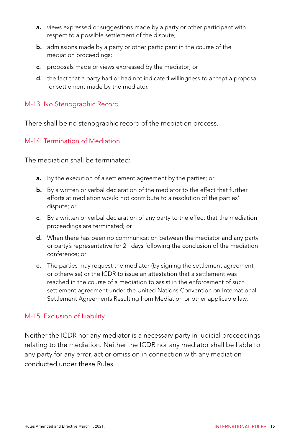- <span id="page-14-0"></span>a. views expressed or suggestions made by a party or other participant with respect to a possible settlement of the dispute;
- **b.** admissions made by a party or other participant in the course of the mediation proceedings;
- c. proposals made or views expressed by the mediator; or
- d. the fact that a party had or had not indicated willingness to accept a proposal for settlement made by the mediator.

#### M-13. No Stenographic Record

There shall be no stenographic record of the mediation process.

#### M-14. Termination of Mediation

The mediation shall be terminated:

- a. By the execution of a settlement agreement by the parties; or
- b. By a written or verbal declaration of the mediator to the effect that further efforts at mediation would not contribute to a resolution of the parties' dispute; or
- c. By a written or verbal declaration of any party to the effect that the mediation proceedings are terminated; or
- d. When there has been no communication between the mediator and any party or party's representative for 21 days following the conclusion of the mediation conference; or
- e. The parties may request the mediator (by signing the settlement agreement or otherwise) or the ICDR to issue an attestation that a settlement was reached in the course of a mediation to assist in the enforcement of such settlement agreement under the United Nations Convention on International Settlement Agreements Resulting from Mediation or other applicable law.

#### M-15. Exclusion of Liability

Neither the ICDR nor any mediator is a necessary party in judicial proceedings relating to the mediation. Neither the ICDR nor any mediator shall be liable to any party for any error, act or omission in connection with any mediation conducted under these Rules.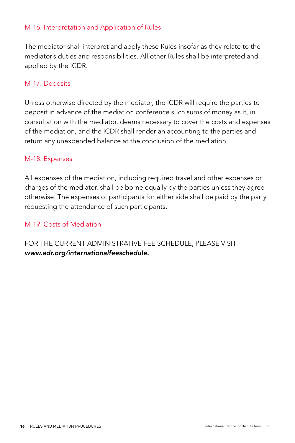# <span id="page-15-0"></span>M-16. Interpretation and Application of Rules

The mediator shall interpret and apply these Rules insofar as they relate to the mediator's duties and responsibilities. All other Rules shall be interpreted and applied by the ICDR.

#### M-17. Deposits

Unless otherwise directed by the mediator, the ICDR will require the parties to deposit in advance of the mediation conference such sums of money as it, in consultation with the mediator, deems necessary to cover the costs and expenses of the mediation, and the ICDR shall render an accounting to the parties and return any unexpended balance at the conclusion of the mediation.

#### M-18. Expenses

All expenses of the mediation, including required travel and other expenses or charges of the mediator, shall be borne equally by the parties unless they agree otherwise. The expenses of participants for either side shall be paid by the party requesting the attendance of such participants.

#### M-19. Costs of Mediation

FOR THE CURRENT ADMINISTRATIVE FEE SCHEDULE, PLEASE VISIT *[www.adr.org/internationalfeeschedule](http://www.adr.org/internationalfeeschedule).*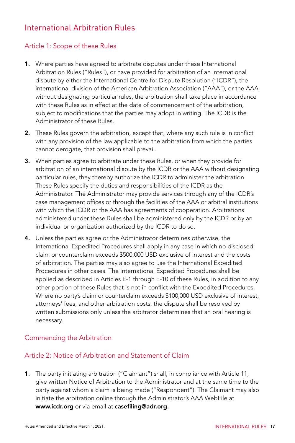# <span id="page-16-0"></span>International Arbitration Rules

# Article 1: Scope of these Rules

- 1. Where parties have agreed to arbitrate disputes under these International Arbitration Rules ("Rules"), or have provided for arbitration of an international dispute by either the International Centre for Dispute Resolution ("ICDR"), the international division of the American Arbitration Association ("AAA"), or the AAA without designating particular rules, the arbitration shall take place in accordance with these Rules as in effect at the date of commencement of the arbitration, subject to modifications that the parties may adopt in writing. The ICDR is the Administrator of these Rules.
- 2. These Rules govern the arbitration, except that, where any such rule is in conflict with any provision of the law applicable to the arbitration from which the parties cannot derogate, that provision shall prevail.
- 3. When parties agree to arbitrate under these Rules, or when they provide for arbitration of an international dispute by the ICDR or the AAA without designating particular rules, they thereby authorize the ICDR to administer the arbitration. These Rules specify the duties and responsibilities of the ICDR as the Administrator. The Administrator may provide services through any of the ICDR's case management offices or through the facilities of the AAA or arbitral institutions with which the ICDR or the AAA has agreements of cooperation. Arbitrations administered under these Rules shall be administered only by the ICDR or by an individual or organization authorized by the ICDR to do so.
- 4. Unless the parties agree or the Administrator determines otherwise, the International Expedited Procedures shall apply in any case in which no disclosed claim or counterclaim exceeds \$500,000 USD exclusive of interest and the costs of arbitration. The parties may also agree to use the International Expedited Procedures in other cases. The International Expedited Procedures shall be applied as described in Articles E-1 through E-10 of these Rules, in addition to any other portion of these Rules that is not in conflict with the Expedited Procedures. Where no party's claim or counterclaim exceeds \$100,000 USD exclusive of interest, attorneys' fees, and other arbitration costs, the dispute shall be resolved by written submissions only unless the arbitrator determines that an oral hearing is necessary.

#### Commencing the Arbitration

#### Article 2: Notice of Arbitration and Statement of Claim

1. The party initiating arbitration ("Claimant") shall, in compliance with Article 11, give written Notice of Arbitration to the Administrator and at the same time to the party against whom a claim is being made ("Respondent"). The Claimant may also initiate the arbitration online through the Administrator's AAA WebFile at [www.icdr.org](http://www.icdr.org) or via email at [casefiling@adr.org.](mailto:casefiling@adr.org)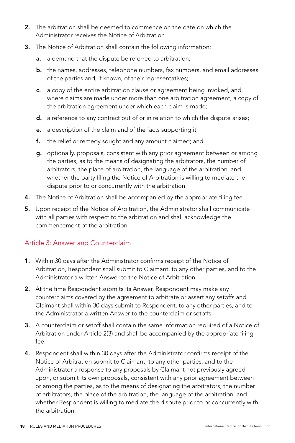- <span id="page-17-0"></span>2. The arbitration shall be deemed to commence on the date on which the Administrator receives the Notice of Arbitration.
- **3.** The Notice of Arbitration shall contain the following information:
	- a. a demand that the dispute be referred to arbitration;
	- b. the names, addresses, telephone numbers, fax numbers, and email addresses of the parties and, if known, of their representatives;
	- c. a copy of the entire arbitration clause or agreement being invoked, and, where claims are made under more than one arbitration agreement, a copy of the arbitration agreement under which each claim is made;
	- d. a reference to any contract out of or in relation to which the dispute arises;
	- e. a description of the claim and of the facts supporting it;
	- f. the relief or remedy sought and any amount claimed; and
	- g. optionally, proposals, consistent with any prior agreement between or among the parties, as to the means of designating the arbitrators, the number of arbitrators, the place of arbitration, the language of the arbitration, and whether the party filing the Notice of Arbitration is willing to mediate the dispute prior to or concurrently with the arbitration.
- **4.** The Notice of Arbitration shall be accompanied by the appropriate filing fee.
- 5. Upon receipt of the Notice of Arbitration, the Administrator shall communicate with all parties with respect to the arbitration and shall acknowledge the commencement of the arbitration.

#### Article 3: Answer and Counterclaim

- 1. Within 30 days after the Administrator confirms receipt of the Notice of Arbitration, Respondent shall submit to Claimant, to any other parties, and to the Administrator a written Answer to the Notice of Arbitration.
- **2.** At the time Respondent submits its Answer, Respondent may make any counterclaims covered by the agreement to arbitrate or assert any setoffs and Claimant shall within 30 days submit to Respondent, to any other parties, and to the Administrator a written Answer to the counterclaim or setoffs.
- 3. A counterclaim or setoff shall contain the same information required of a Notice of Arbitration under Article 2(3) and shall be accompanied by the appropriate filing fee.
- 4. Respondent shall within 30 days after the Administrator confirms receipt of the Notice of Arbitration submit to Claimant, to any other parties, and to the Administrator a response to any proposals by Claimant not previously agreed upon, or submit its own proposals, consistent with any prior agreement between or among the parties, as to the means of designating the arbitrators, the number of arbitrators, the place of the arbitration, the language of the arbitration, and whether Respondent is willing to mediate the dispute prior to or concurrently with the arbitration.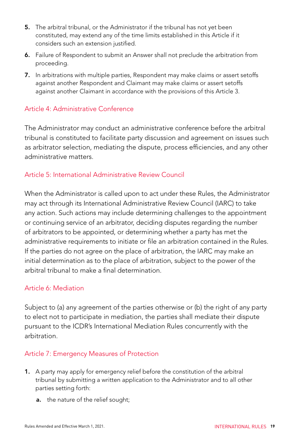- <span id="page-18-0"></span>5. The arbitral tribunal, or the Administrator if the tribunal has not yet been constituted, may extend any of the time limits established in this Article if it considers such an extension justified.
- 6. Failure of Respondent to submit an Answer shall not preclude the arbitration from proceeding.
- 7. In arbitrations with multiple parties, Respondent may make claims or assert setoffs against another Respondent and Claimant may make claims or assert setoffs against another Claimant in accordance with the provisions of this Article 3.

#### Article 4: Administrative Conference

The Administrator may conduct an administrative conference before the arbitral tribunal is constituted to facilitate party discussion and agreement on issues such as arbitrator selection, mediating the dispute, process efficiencies, and any other administrative matters.

## Article 5: International Administrative Review Council

When the Administrator is called upon to act under these Rules, the Administrator may act through its International Administrative Review Council (IARC) to take any action. Such actions may include determining challenges to the appointment or continuing service of an arbitrator, deciding disputes regarding the number of arbitrators to be appointed, or determining whether a party has met the administrative requirements to initiate or file an arbitration contained in the Rules. If the parties do not agree on the place of arbitration, the IARC may make an initial determination as to the place of arbitration, subject to the power of the arbitral tribunal to make a final determination.

#### Article 6: Mediation

Subject to (a) any agreement of the parties otherwise or (b) the right of any party to elect not to participate in mediation, the parties shall mediate their dispute pursuant to the ICDR's International Mediation Rules concurrently with the arbitration.

#### Article 7: Emergency Measures of Protection

- 1. A party may apply for emergency relief before the constitution of the arbitral tribunal by submitting a written application to the Administrator and to all other parties setting forth:
	- a. the nature of the relief sought;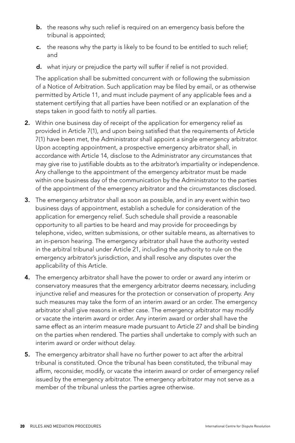- **b.** the reasons why such relief is required on an emergency basis before the tribunal is appointed;
- c. the reasons why the party is likely to be found to be entitled to such relief; and
- d. what injury or prejudice the party will suffer if relief is not provided.

The application shall be submitted concurrent with or following the submission of a Notice of Arbitration. Such application may be filed by email, or as otherwise permitted by Article 11, and must include payment of any applicable fees and a statement certifying that all parties have been notified or an explanation of the steps taken in good faith to notify all parties.

- 2. Within one business day of receipt of the application for emergency relief as provided in Article 7(1), and upon being satisfied that the requirements of Article 7(1) have been met, the Administrator shall appoint a single emergency arbitrator. Upon accepting appointment, a prospective emergency arbitrator shall, in accordance with Article 14, disclose to the Administrator any circumstances that may give rise to justifiable doubts as to the arbitrator's impartiality or independence. Any challenge to the appointment of the emergency arbitrator must be made within one business day of the communication by the Administrator to the parties of the appointment of the emergency arbitrator and the circumstances disclosed.
- 3. The emergency arbitrator shall as soon as possible, and in any event within two business days of appointment, establish a schedule for consideration of the application for emergency relief. Such schedule shall provide a reasonable opportunity to all parties to be heard and may provide for proceedings by telephone, video, written submissions, or other suitable means, as alternatives to an in-person hearing. The emergency arbitrator shall have the authority vested in the arbitral tribunal under Article 21, including the authority to rule on the emergency arbitrator's jurisdiction, and shall resolve any disputes over the applicability of this Article.
- 4. The emergency arbitrator shall have the power to order or award any interim or conservatory measures that the emergency arbitrator deems necessary, including injunctive relief and measures for the protection or conservation of property. Any such measures may take the form of an interim award or an order. The emergency arbitrator shall give reasons in either case. The emergency arbitrator may modify or vacate the interim award or order. Any interim award or order shall have the same effect as an interim measure made pursuant to Article 27 and shall be binding on the parties when rendered. The parties shall undertake to comply with such an interim award or order without delay.
- 5. The emergency arbitrator shall have no further power to act after the arbitral tribunal is constituted. Once the tribunal has been constituted, the tribunal may affirm, reconsider, modify, or vacate the interim award or order of emergency relief issued by the emergency arbitrator. The emergency arbitrator may not serve as a member of the tribunal unless the parties agree otherwise.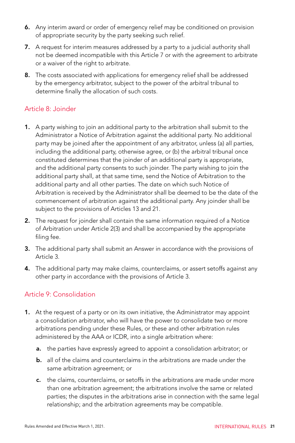- <span id="page-20-0"></span>6. Any interim award or order of emergency relief may be conditioned on provision of appropriate security by the party seeking such relief.
- 7. A request for interim measures addressed by a party to a judicial authority shall not be deemed incompatible with this Article 7 or with the agreement to arbitrate or a waiver of the right to arbitrate.
- 8. The costs associated with applications for emergency relief shall be addressed by the emergency arbitrator, subject to the power of the arbitral tribunal to determine finally the allocation of such costs.

# Article 8: Joinder

- 1. A party wishing to join an additional party to the arbitration shall submit to the Administrator a Notice of Arbitration against the additional party. No additional party may be joined after the appointment of any arbitrator, unless (a) all parties, including the additional party, otherwise agree, or (b) the arbitral tribunal once constituted determines that the joinder of an additional party is appropriate, and the additional party consents to such joinder. The party wishing to join the additional party shall, at that same time, send the Notice of Arbitration to the additional party and all other parties. The date on which such Notice of Arbitration is received by the Administrator shall be deemed to be the date of the commencement of arbitration against the additional party. Any joinder shall be subject to the provisions of Articles 13 and 21.
- 2. The request for joinder shall contain the same information required of a Notice of Arbitration under Article 2(3) and shall be accompanied by the appropriate filing fee.
- 3. The additional party shall submit an Answer in accordance with the provisions of Article 3.
- 4. The additional party may make claims, counterclaims, or assert setoffs against any other party in accordance with the provisions of Article 3.

# Article 9: Consolidation

- 1. At the request of a party or on its own initiative, the Administrator may appoint a consolidation arbitrator, who will have the power to consolidate two or more arbitrations pending under these Rules, or these and other arbitration rules administered by the AAA or ICDR, into a single arbitration where:
	- a. the parties have expressly agreed to appoint a consolidation arbitrator; or
	- **b.** all of the claims and counterclaims in the arbitrations are made under the same arbitration agreement; or
	- c. the claims, counterclaims, or setoffs in the arbitrations are made under more than one arbitration agreement; the arbitrations involve the same or related parties; the disputes in the arbitrations arise in connection with the same legal relationship; and the arbitration agreements may be compatible.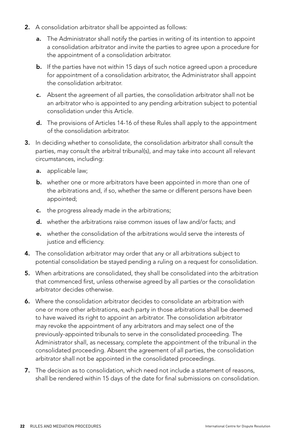- 2. A consolidation arbitrator shall be appointed as follows:
	- a. The Administrator shall notify the parties in writing of its intention to appoint a consolidation arbitrator and invite the parties to agree upon a procedure for the appointment of a consolidation arbitrator.
	- b. If the parties have not within 15 days of such notice agreed upon a procedure for appointment of a consolidation arbitrator, the Administrator shall appoint the consolidation arbitrator.
	- c. Absent the agreement of all parties, the consolidation arbitrator shall not be an arbitrator who is appointed to any pending arbitration subject to potential consolidation under this Article.
	- d. The provisions of Articles 14-16 of these Rules shall apply to the appointment of the consolidation arbitrator.
- 3. In deciding whether to consolidate, the consolidation arbitrator shall consult the parties, may consult the arbitral tribunal(s), and may take into account all relevant circumstances, including:
	- a. applicable law;
	- **b.** whether one or more arbitrators have been appointed in more than one of the arbitrations and, if so, whether the same or different persons have been appointed;
	- c. the progress already made in the arbitrations;
	- d. whether the arbitrations raise common issues of law and/or facts; and
	- e. whether the consolidation of the arbitrations would serve the interests of justice and efficiency.
- 4. The consolidation arbitrator may order that any or all arbitrations subject to potential consolidation be stayed pending a ruling on a request for consolidation.
- 5. When arbitrations are consolidated, they shall be consolidated into the arbitration that commenced first, unless otherwise agreed by all parties or the consolidation arbitrator decides otherwise.
- 6. Where the consolidation arbitrator decides to consolidate an arbitration with one or more other arbitrations, each party in those arbitrations shall be deemed to have waived its right to appoint an arbitrator. The consolidation arbitrator may revoke the appointment of any arbitrators and may select one of the previously-appointed tribunals to serve in the consolidated proceeding. The Administrator shall, as necessary, complete the appointment of the tribunal in the consolidated proceeding. Absent the agreement of all parties, the consolidation arbitrator shall not be appointed in the consolidated proceedings.
- 7. The decision as to consolidation, which need not include a statement of reasons, shall be rendered within 15 days of the date for final submissions on consolidation.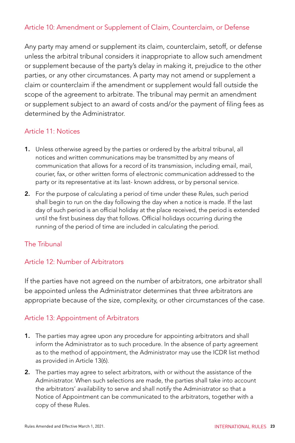# <span id="page-22-0"></span>Article 10: Amendment or Supplement of Claim, Counterclaim, or Defense

Any party may amend or supplement its claim, counterclaim, setoff, or defense unless the arbitral tribunal considers it inappropriate to allow such amendment or supplement because of the party's delay in making it, prejudice to the other parties, or any other circumstances. A party may not amend or supplement a claim or counterclaim if the amendment or supplement would fall outside the scope of the agreement to arbitrate. The tribunal may permit an amendment or supplement subject to an award of costs and/or the payment of filing fees as determined by the Administrator.

#### Article 11: Notices

- 1. Unless otherwise agreed by the parties or ordered by the arbitral tribunal, all notices and written communications may be transmitted by any means of communication that allows for a record of its transmission, including email, mail, courier, fax, or other written forms of electronic communication addressed to the party or its representative at its last- known address, or by personal service.
- 2. For the purpose of calculating a period of time under these Rules, such period shall begin to run on the day following the day when a notice is made. If the last day of such period is an official holiday at the place received, the period is extended until the first business day that follows. Official holidays occurring during the running of the period of time are included in calculating the period.

#### The Tribunal

#### Article 12: Number of Arbitrators

If the parties have not agreed on the number of arbitrators, one arbitrator shall be appointed unless the Administrator determines that three arbitrators are appropriate because of the size, complexity, or other circumstances of the case.

#### Article 13: Appointment of Arbitrators

- 1. The parties may agree upon any procedure for appointing arbitrators and shall inform the Administrator as to such procedure. In the absence of party agreement as to the method of appointment, the Administrator may use the ICDR list method as provided in Article 13(6).
- 2. The parties may agree to select arbitrators, with or without the assistance of the Administrator. When such selections are made, the parties shall take into account the arbitrators' availability to serve and shall notify the Administrator so that a Notice of Appointment can be communicated to the arbitrators, together with a copy of these Rules.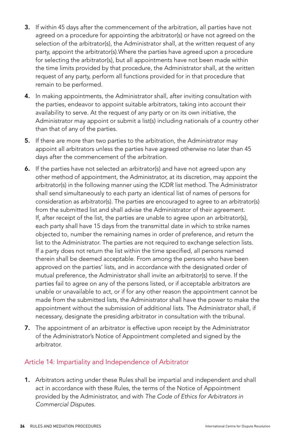- <span id="page-23-0"></span>3. If within 45 days after the commencement of the arbitration, all parties have not agreed on a procedure for appointing the arbitrator(s) or have not agreed on the selection of the arbitrator(s), the Administrator shall, at the written request of any party, appoint the arbitrator(s).Where the parties have agreed upon a procedure for selecting the arbitrator(s), but all appointments have not been made within the time limits provided by that procedure, the Administrator shall, at the written request of any party, perform all functions provided for in that procedure that remain to be performed.
- 4. In making appointments, the Administrator shall, after inviting consultation with the parties, endeavor to appoint suitable arbitrators, taking into account their availability to serve. At the request of any party or on its own initiative, the Administrator may appoint or submit a list(s) including nationals of a country other than that of any of the parties.
- 5. If there are more than two parties to the arbitration, the Administrator may appoint all arbitrators unless the parties have agreed otherwise no later than 45 days after the commencement of the arbitration.
- 6. If the parties have not selected an arbitrator(s) and have not agreed upon any other method of appointment, the Administrator, at its discretion, may appoint the arbitrator(s) in the following manner using the ICDR list method. The Administrator shall send simultaneously to each party an identical list of names of persons for consideration as arbitrator(s). The parties are encouraged to agree to an arbitrator(s) from the submitted list and shall advise the Administrator of their agreement. If, after receipt of the list, the parties are unable to agree upon an arbitrator(s), each party shall have 15 days from the transmittal date in which to strike names objected to, number the remaining names in order of preference, and return the list to the Administrator. The parties are not required to exchange selection lists. If a party does not return the list within the time specified, all persons named therein shall be deemed acceptable. From among the persons who have been approved on the parties' lists, and in accordance with the designated order of mutual preference, the Administrator shall invite an arbitrator(s) to serve. If the parties fail to agree on any of the persons listed, or if acceptable arbitrators are unable or unavailable to act, or if for any other reason the appointment cannot be made from the submitted lists, the Administrator shall have the power to make the appointment without the submission of additional lists. The Administrator shall, if necessary, designate the presiding arbitrator in consultation with the tribunal.
- **7.** The appointment of an arbitrator is effective upon receipt by the Administrator of the Administrator's Notice of Appointment completed and signed by the arbitrator.

#### Article 14: Impartiality and Independence of Arbitrator

1. Arbitrators acting under these Rules shall be impartial and independent and shall act in accordance with these Rules, the terms of the Notice of Appointment provided by the Administrator, and with *The Code of Ethics for Arbitrators in Commercial Disputes.*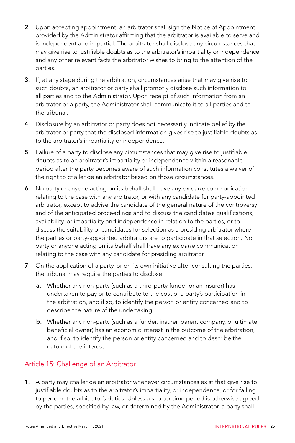- <span id="page-24-0"></span>2. Upon accepting appointment, an arbitrator shall sign the Notice of Appointment provided by the Administrator affirming that the arbitrator is available to serve and is independent and impartial. The arbitrator shall disclose any circumstances that may give rise to justifiable doubts as to the arbitrator's impartiality or independence and any other relevant facts the arbitrator wishes to bring to the attention of the parties.
- 3. If, at any stage during the arbitration, circumstances arise that may give rise to such doubts, an arbitrator or party shall promptly disclose such information to all parties and to the Administrator. Upon receipt of such information from an arbitrator or a party, the Administrator shall communicate it to all parties and to the tribunal.
- 4. Disclosure by an arbitrator or party does not necessarily indicate belief by the arbitrator or party that the disclosed information gives rise to justifiable doubts as to the arbitrator's impartiality or independence.
- 5. Failure of a party to disclose any circumstances that may give rise to justifiable doubts as to an arbitrator's impartiality or independence within a reasonable period after the party becomes aware of such information constitutes a waiver of the right to challenge an arbitrator based on those circumstances.
- 6. No party or anyone acting on its behalf shall have any *ex parte* communication relating to the case with any arbitrator, or with any candidate for party-appointed arbitrator, except to advise the candidate of the general nature of the controversy and of the anticipated proceedings and to discuss the candidate's qualifications, availability, or impartiality and independence in relation to the parties, or to discuss the suitability of candidates for selection as a presiding arbitrator where the parties or party-appointed arbitrators are to participate in that selection. No party or anyone acting on its behalf shall have any *ex parte* communication relating to the case with any candidate for presiding arbitrator.
- 7. On the application of a party, or on its own initiative after consulting the parties, the tribunal may require the parties to disclose:
	- a. Whether any non-party (such as a third-party funder or an insurer) has undertaken to pay or to contribute to the cost of a party's participation in the arbitration, and if so, to identify the person or entity concerned and to describe the nature of the undertaking.
	- **b.** Whether any non-party (such as a funder, insurer, parent company, or ultimate beneficial owner) has an economic interest in the outcome of the arbitration, and if so, to identify the person or entity concerned and to describe the nature of the interest.

# Article 15: Challenge of an Arbitrator

1. A party may challenge an arbitrator whenever circumstances exist that give rise to justifiable doubts as to the arbitrator's impartiality, or independence, or for failing to perform the arbitrator's duties. Unless a shorter time period is otherwise agreed by the parties, specified by law, or determined by the Administrator, a party shall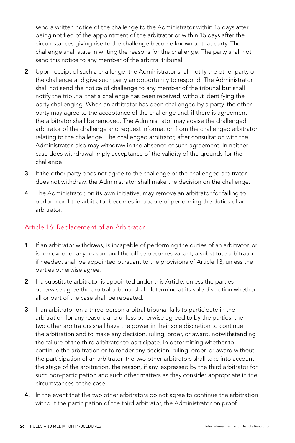<span id="page-25-0"></span>send a written notice of the challenge to the Administrator within 15 days after being notified of the appointment of the arbitrator or within 15 days after the circumstances giving rise to the challenge become known to that party. The challenge shall state in writing the reasons for the challenge. The party shall not send this notice to any member of the arbitral tribunal.

- 2. Upon receipt of such a challenge, the Administrator shall notify the other party of the challenge and give such party an opportunity to respond. The Administrator shall not send the notice of challenge to any member of the tribunal but shall notify the tribunal that a challenge has been received, without identifying the party challenging. When an arbitrator has been challenged by a party, the other party may agree to the acceptance of the challenge and, if there is agreement, the arbitrator shall be removed. The Administrator may advise the challenged arbitrator of the challenge and request information from the challenged arbitrator relating to the challenge. The challenged arbitrator, after consultation with the Administrator, also may withdraw in the absence of such agreement. In neither case does withdrawal imply acceptance of the validity of the grounds for the challenge.
- 3. If the other party does not agree to the challenge or the challenged arbitrator does not withdraw, the Administrator shall make the decision on the challenge.
- 4. The Administrator, on its own initiative, may remove an arbitrator for failing to perform or if the arbitrator becomes incapable of performing the duties of an arbitrator.

#### Article 16: Replacement of an Arbitrator

- 1. If an arbitrator withdraws, is incapable of performing the duties of an arbitrator, or is removed for any reason, and the office becomes vacant, a substitute arbitrator, if needed, shall be appointed pursuant to the provisions of Article 13, unless the parties otherwise agree.
- 2. If a substitute arbitrator is appointed under this Article, unless the parties otherwise agree the arbitral tribunal shall determine at its sole discretion whether all or part of the case shall be repeated.
- 3. If an arbitrator on a three-person arbitral tribunal fails to participate in the arbitration for any reason, and unless otherwise agreed to by the parties, the two other arbitrators shall have the power in their sole discretion to continue the arbitration and to make any decision, ruling, order, or award, notwithstanding the failure of the third arbitrator to participate. In determining whether to continue the arbitration or to render any decision, ruling, order, or award without the participation of an arbitrator, the two other arbitrators shall take into account the stage of the arbitration, the reason, if any, expressed by the third arbitrator for such non-participation and such other matters as they consider appropriate in the circumstances of the case.
- 4. In the event that the two other arbitrators do not agree to continue the arbitration without the participation of the third arbitrator, the Administrator on proof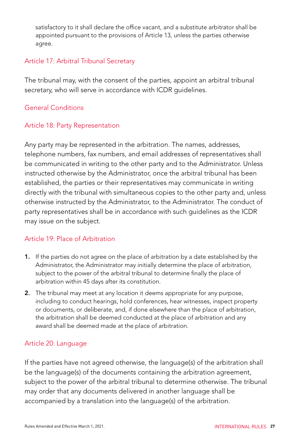<span id="page-26-0"></span>satisfactory to it shall declare the office vacant, and a substitute arbitrator shall be appointed pursuant to the provisions of Article 13, unless the parties otherwise agree.

# Article 17: Arbitral Tribunal Secretary

The tribunal may, with the consent of the parties, appoint an arbitral tribunal secretary, who will serve in accordance with ICDR guidelines.

#### General Conditions

#### Article 18: Party Representation

Any party may be represented in the arbitration. The names, addresses, telephone numbers, fax numbers, and email addresses of representatives shall be communicated in writing to the other party and to the Administrator. Unless instructed otherwise by the Administrator, once the arbitral tribunal has been established, the parties or their representatives may communicate in writing directly with the tribunal with simultaneous copies to the other party and, unless otherwise instructed by the Administrator, to the Administrator. The conduct of party representatives shall be in accordance with such guidelines as the ICDR may issue on the subject.

#### Article 19: Place of Arbitration

- **1.** If the parties do not agree on the place of arbitration by a date established by the Administrator, the Administrator may initially determine the place of arbitration, subject to the power of the arbitral tribunal to determine finally the place of arbitration within 45 days after its constitution.
- 2. The tribunal may meet at any location it deems appropriate for any purpose, including to conduct hearings, hold conferences, hear witnesses, inspect property or documents, or deliberate, and, if done elsewhere than the place of arbitration, the arbitration shall be deemed conducted at the place of arbitration and any award shall be deemed made at the place of arbitration.

#### Article 20: Language

If the parties have not agreed otherwise, the language(s) of the arbitration shall be the language(s) of the documents containing the arbitration agreement, subject to the power of the arbitral tribunal to determine otherwise. The tribunal may order that any documents delivered in another language shall be accompanied by a translation into the language(s) of the arbitration.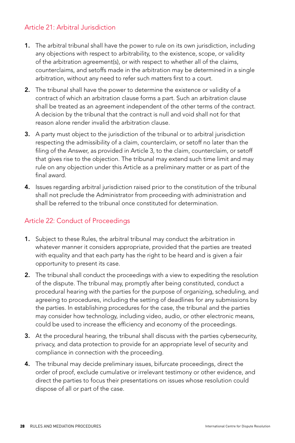## <span id="page-27-0"></span>Article 21: Arbitral Jurisdiction

- 1. The arbitral tribunal shall have the power to rule on its own jurisdiction, including any objections with respect to arbitrability, to the existence, scope, or validity of the arbitration agreement(s), or with respect to whether all of the claims, counterclaims, and setoffs made in the arbitration may be determined in a single arbitration, without any need to refer such matters first to a court.
- 2. The tribunal shall have the power to determine the existence or validity of a contract of which an arbitration clause forms a part. Such an arbitration clause shall be treated as an agreement independent of the other terms of the contract. A decision by the tribunal that the contract is null and void shall not for that reason alone render invalid the arbitration clause.
- **3.** A party must object to the jurisdiction of the tribunal or to arbitral jurisdiction respecting the admissibility of a claim, counterclaim, or setoff no later than the filing of the Answer, as provided in Article 3, to the claim, counterclaim, or setoff that gives rise to the objection. The tribunal may extend such time limit and may rule on any objection under this Article as a preliminary matter or as part of the final award.
- 4. Issues regarding arbitral jurisdiction raised prior to the constitution of the tribunal shall not preclude the Administrator from proceeding with administration and shall be referred to the tribunal once constituted for determination.

# Article 22: Conduct of Proceedings

- 1. Subject to these Rules, the arbitral tribunal may conduct the arbitration in whatever manner it considers appropriate, provided that the parties are treated with equality and that each party has the right to be heard and is given a fair opportunity to present its case.
- 2. The tribunal shall conduct the proceedings with a view to expediting the resolution of the dispute. The tribunal may, promptly after being constituted, conduct a procedural hearing with the parties for the purpose of organizing, scheduling, and agreeing to procedures, including the setting of deadlines for any submissions by the parties. In establishing procedures for the case, the tribunal and the parties may consider how technology, including video, audio, or other electronic means, could be used to increase the efficiency and economy of the proceedings.
- 3. At the procedural hearing, the tribunal shall discuss with the parties cybersecurity, privacy, and data protection to provide for an appropriate level of security and compliance in connection with the proceeding.
- 4. The tribunal may decide preliminary issues, bifurcate proceedings, direct the order of proof, exclude cumulative or irrelevant testimony or other evidence, and direct the parties to focus their presentations on issues whose resolution could dispose of all or part of the case.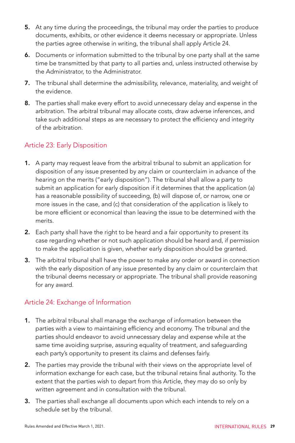- <span id="page-28-0"></span>5. At any time during the proceedings, the tribunal may order the parties to produce documents, exhibits, or other evidence it deems necessary or appropriate. Unless the parties agree otherwise in writing, the tribunal shall apply Article 24.
- 6. Documents or information submitted to the tribunal by one party shall at the same time be transmitted by that party to all parties and, unless instructed otherwise by the Administrator, to the Administrator.
- 7. The tribunal shall determine the admissibility, relevance, materiality, and weight of the evidence.
- 8. The parties shall make every effort to avoid unnecessary delay and expense in the arbitration. The arbitral tribunal may allocate costs, draw adverse inferences, and take such additional steps as are necessary to protect the efficiency and integrity of the arbitration.

# Article 23: Early Disposition

- 1. A party may request leave from the arbitral tribunal to submit an application for disposition of any issue presented by any claim or counterclaim in advance of the hearing on the merits ("early disposition"). The tribunal shall allow a party to submit an application for early disposition if it determines that the application (a) has a reasonable possibility of succeeding, (b) will dispose of, or narrow, one or more issues in the case, and (c) that consideration of the application is likely to be more efficient or economical than leaving the issue to be determined with the merits.
- 2. Each party shall have the right to be heard and a fair opportunity to present its case regarding whether or not such application should be heard and, if permission to make the application is given, whether early disposition should be granted.
- 3. The arbitral tribunal shall have the power to make any order or award in connection with the early disposition of any issue presented by any claim or counterclaim that the tribunal deems necessary or appropriate. The tribunal shall provide reasoning for any award.

# Article 24: Exchange of Information

- 1. The arbitral tribunal shall manage the exchange of information between the parties with a view to maintaining efficiency and economy. The tribunal and the parties should endeavor to avoid unnecessary delay and expense while at the same time avoiding surprise, assuring equality of treatment, and safeguarding each party's opportunity to present its claims and defenses fairly.
- 2. The parties may provide the tribunal with their views on the appropriate level of information exchange for each case, but the tribunal retains final authority. To the extent that the parties wish to depart from this Article, they may do so only by written agreement and in consultation with the tribunal.
- 3. The parties shall exchange all documents upon which each intends to rely on a schedule set by the tribunal.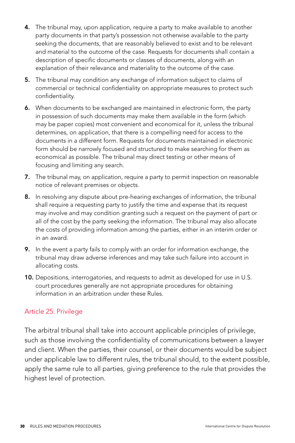- <span id="page-29-0"></span>4. The tribunal may, upon application, require a party to make available to another party documents in that party's possession not otherwise available to the party seeking the documents, that are reasonably believed to exist and to be relevant and material to the outcome of the case. Requests for documents shall contain a description of specific documents or classes of documents, along with an explanation of their relevance and materiality to the outcome of the case.
- 5. The tribunal may condition any exchange of information subject to claims of commercial or technical confidentiality on appropriate measures to protect such confidentiality.
- 6. When documents to be exchanged are maintained in electronic form, the party in possession of such documents may make them available in the form (which may be paper copies) most convenient and economical for it, unless the tribunal determines, on application, that there is a compelling need for access to the documents in a different form. Requests for documents maintained in electronic form should be narrowly focused and structured to make searching for them as economical as possible. The tribunal may direct testing or other means of focusing and limiting any search.
- **7.** The tribunal may, on application, require a party to permit inspection on reasonable notice of relevant premises or objects.
- 8. In resolving any dispute about pre-hearing exchanges of information, the tribunal shall require a requesting party to justify the time and expense that its request may involve and may condition granting such a request on the payment of part or all of the cost by the party seeking the information. The tribunal may also allocate the costs of providing information among the parties, either in an interim order or in an award.
- 9. In the event a party fails to comply with an order for information exchange, the tribunal may draw adverse inferences and may take such failure into account in allocating costs.
- 10. Depositions, interrogatories, and requests to admit as developed for use in U.S. court procedures generally are not appropriate procedures for obtaining information in an arbitration under these Rules.

#### Article 25: Privilege

The arbitral tribunal shall take into account applicable principles of privilege, such as those involving the confidentiality of communications between a lawyer and client. When the parties, their counsel, or their documents would be subject under applicable law to different rules, the tribunal should, to the extent possible, apply the same rule to all parties, giving preference to the rule that provides the highest level of protection.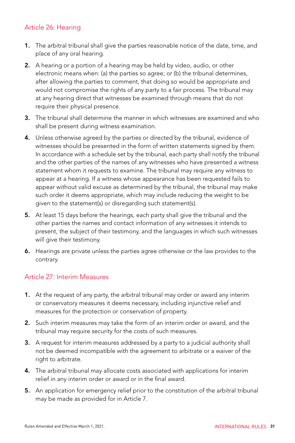# <span id="page-30-0"></span>Article 26: Hearing

- 1. The arbitral tribunal shall give the parties reasonable notice of the date, time, and place of any oral hearing.
- 2. A hearing or a portion of a hearing may be held by video, audio, or other electronic means when: (a) the parties so agree; or (b) the tribunal determines, after allowing the parties to comment, that doing so would be appropriate and would not compromise the rights of any party to a fair process. The tribunal may at any hearing direct that witnesses be examined through means that do not require their physical presence.
- 3. The tribunal shall determine the manner in which witnesses are examined and who shall be present during witness examination.
- 4. Unless otherwise agreed by the parties or directed by the tribunal, evidence of witnesses should be presented in the form of written statements signed by them. In accordance with a schedule set by the tribunal, each party shall notify the tribunal and the other parties of the names of any witnesses who have presented a witness statement whom it requests to examine. The tribunal may require any witness to appear at a hearing. If a witness whose appearance has been requested fails to appear without valid excuse as determined by the tribunal, the tribunal may make such order it deems appropriate, which may include reducing the weight to be given to the statement(s) or disregarding such statement(s).
- 5. At least 15 days before the hearings, each party shall give the tribunal and the other parties the names and contact information of any witnesses it intends to present, the subject of their testimony, and the languages in which such witnesses will give their testimony.
- 6. Hearings are private unless the parties agree otherwise or the law provides to the contrary.

#### Article 27: Interim Measures

- 1. At the request of any party, the arbitral tribunal may order or award any interim or conservatory measures it deems necessary, including injunctive relief and measures for the protection or conservation of property.
- 2. Such interim measures may take the form of an interim order or award, and the tribunal may require security for the costs of such measures.
- 3. A request for interim measures addressed by a party to a judicial authority shall not be deemed incompatible with the agreement to arbitrate or a waiver of the right to arbitrate.
- 4. The arbitral tribunal may allocate costs associated with applications for interim relief in any interim order or award or in the final award.
- **5.** An application for emergency relief prior to the constitution of the arbitral tribunal may be made as provided for in Article 7.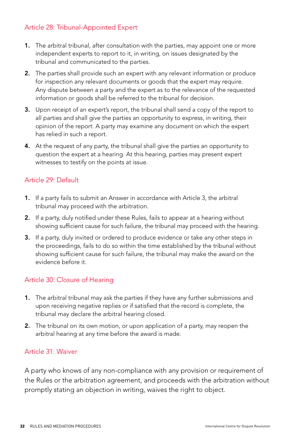## <span id="page-31-0"></span>Article 28: Tribunal-Appointed Expert

- 1. The arbitral tribunal, after consultation with the parties, may appoint one or more independent experts to report to it, in writing, on issues designated by the tribunal and communicated to the parties.
- 2. The parties shall provide such an expert with any relevant information or produce for inspection any relevant documents or goods that the expert may require. Any dispute between a party and the expert as to the relevance of the requested information or goods shall be referred to the tribunal for decision.
- 3. Upon receipt of an expert's report, the tribunal shall send a copy of the report to all parties and shall give the parties an opportunity to express, in writing, their opinion of the report. A party may examine any document on which the expert has relied in such a report.
- **4.** At the request of any party, the tribunal shall give the parties an opportunity to question the expert at a hearing. At this hearing, parties may present expert witnesses to testify on the points at issue.

## Article 29: Default

- 1. If a party fails to submit an Answer in accordance with Article 3, the arbitral tribunal may proceed with the arbitration.
- 2. If a party, duly notified under these Rules, fails to appear at a hearing without showing sufficient cause for such failure, the tribunal may proceed with the hearing.
- 3. If a party, duly invited or ordered to produce evidence or take any other steps in the proceedings, fails to do so within the time established by the tribunal without showing sufficient cause for such failure, the tribunal may make the award on the evidence before it.

# Article 30: Closure of Hearing

- 1. The arbitral tribunal may ask the parties if they have any further submissions and upon receiving negative replies or if satisfied that the record is complete, the tribunal may declare the arbitral hearing closed.
- 2. The tribunal on its own motion, or upon application of a party, may reopen the arbitral hearing at any time before the award is made.

#### Article 31: Waiver

A party who knows of any non-compliance with any provision or requirement of the Rules or the arbitration agreement, and proceeds with the arbitration without promptly stating an objection in writing, waives the right to object.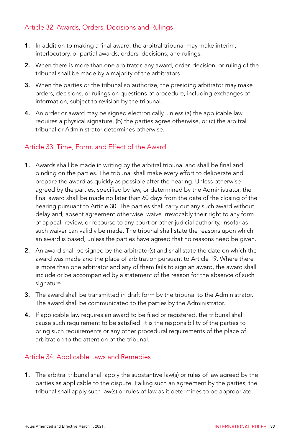## <span id="page-32-0"></span>Article 32: Awards, Orders, Decisions and Rulings

- 1. In addition to making a final award, the arbitral tribunal may make interim, interlocutory, or partial awards, orders, decisions, and rulings.
- 2. When there is more than one arbitrator, any award, order, decision, or ruling of the tribunal shall be made by a majority of the arbitrators.
- **3.** When the parties or the tribunal so authorize, the presiding arbitrator may make orders, decisions, or rulings on questions of procedure, including exchanges of information, subject to revision by the tribunal.
- 4. An order or award may be signed electronically, unless (a) the applicable law requires a physical signature, (b) the parties agree otherwise, or (c) the arbitral tribunal or Administrator determines otherwise.

# Article 33: Time, Form, and Effect of the Award

- 1. Awards shall be made in writing by the arbitral tribunal and shall be final and binding on the parties. The tribunal shall make every effort to deliberate and prepare the award as quickly as possible after the hearing. Unless otherwise agreed by the parties, specified by law, or determined by the Administrator, the final award shall be made no later than 60 days from the date of the closing of the hearing pursuant to Article 30. The parties shall carry out any such award without delay and, absent agreement otherwise, waive irrevocably their right to any form of appeal, review, or recourse to any court or other judicial authority, insofar as such waiver can validly be made. The tribunal shall state the reasons upon which an award is based, unless the parties have agreed that no reasons need be given.
- 2. An award shall be signed by the arbitrator(s) and shall state the date on which the award was made and the place of arbitration pursuant to Article 19. Where there is more than one arbitrator and any of them fails to sign an award, the award shall include or be accompanied by a statement of the reason for the absence of such signature.
- 3. The award shall be transmitted in draft form by the tribunal to the Administrator. The award shall be communicated to the parties by the Administrator.
- 4. If applicable law requires an award to be filed or registered, the tribunal shall cause such requirement to be satisfied. It is the responsibility of the parties to bring such requirements or any other procedural requirements of the place of arbitration to the attention of the tribunal.

#### Article 34: Applicable Laws and Remedies

1. The arbitral tribunal shall apply the substantive law(s) or rules of law agreed by the parties as applicable to the dispute. Failing such an agreement by the parties, the tribunal shall apply such law(s) or rules of law as it determines to be appropriate.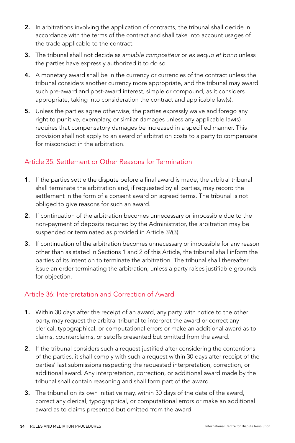- <span id="page-33-0"></span>2. In arbitrations involving the application of contracts, the tribunal shall decide in accordance with the terms of the contract and shall take into account usages of the trade applicable to the contract.
- 3. The tribunal shall not decide as *amiable compositeur* or *ex aequo et bono* unless the parties have expressly authorized it to do so.
- 4. A monetary award shall be in the currency or currencies of the contract unless the tribunal considers another currency more appropriate, and the tribunal may award such pre-award and post-award interest, simple or compound, as it considers appropriate, taking into consideration the contract and applicable law(s).
- 5. Unless the parties agree otherwise, the parties expressly waive and forego any right to punitive, exemplary, or similar damages unless any applicable law(s) requires that compensatory damages be increased in a specified manner. This provision shall not apply to an award of arbitration costs to a party to compensate for misconduct in the arbitration.

# Article 35: Settlement or Other Reasons for Termination

- 1. If the parties settle the dispute before a final award is made, the arbitral tribunal shall terminate the arbitration and, if requested by all parties, may record the settlement in the form of a consent award on agreed terms. The tribunal is not obliged to give reasons for such an award.
- 2. If continuation of the arbitration becomes unnecessary or impossible due to the non-payment of deposits required by the Administrator, the arbitration may be suspended or terminated as provided in Article 39(3).
- **3.** If continuation of the arbitration becomes unnecessary or impossible for any reason other than as stated in Sections 1 and 2 of this Article, the tribunal shall inform the parties of its intention to terminate the arbitration. The tribunal shall thereafter issue an order terminating the arbitration, unless a party raises justifiable grounds for objection.

#### Article 36: Interpretation and Correction of Award

- 1. Within 30 days after the receipt of an award, any party, with notice to the other party, may request the arbitral tribunal to interpret the award or correct any clerical, typographical, or computational errors or make an additional award as to claims, counterclaims, or setoffs presented but omitted from the award.
- 2. If the tribunal considers such a request justified after considering the contentions of the parties, it shall comply with such a request within 30 days after receipt of the parties' last submissions respecting the requested interpretation, correction, or additional award. Any interpretation, correction, or additional award made by the tribunal shall contain reasoning and shall form part of the award.
- **3.** The tribunal on its own initiative may, within 30 days of the date of the award, correct any clerical, typographical, or computational errors or make an additional award as to claims presented but omitted from the award.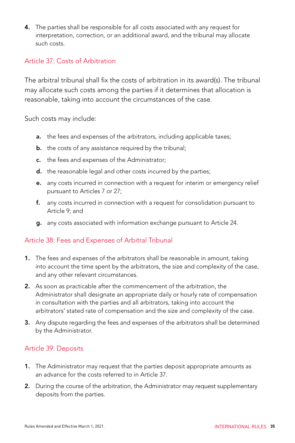<span id="page-34-0"></span>4. The parties shall be responsible for all costs associated with any request for interpretation, correction, or an additional award, and the tribunal may allocate such costs.

# Article 37: Costs of Arbitration

The arbitral tribunal shall fix the costs of arbitration in its award(s). The tribunal may allocate such costs among the parties if it determines that allocation is reasonable, taking into account the circumstances of the case.

Such costs may include:

- a. the fees and expenses of the arbitrators, including applicable taxes;
- **b.** the costs of any assistance required by the tribunal;
- c. the fees and expenses of the Administrator;
- d. the reasonable legal and other costs incurred by the parties;
- e. any costs incurred in connection with a request for interim or emergency relief pursuant to Articles 7 or 27;
- f. any costs incurred in connection with a request for consolidation pursuant to Article 9; and
- g. any costs associated with information exchange pursuant to Article 24.

#### Article 38: Fees and Expenses of Arbitral Tribunal

- 1. The fees and expenses of the arbitrators shall be reasonable in amount, taking into account the time spent by the arbitrators, the size and complexity of the case, and any other relevant circumstances.
- 2. As soon as practicable after the commencement of the arbitration, the Administrator shall designate an appropriate daily or hourly rate of compensation in consultation with the parties and all arbitrators, taking into account the arbitrators' stated rate of compensation and the size and complexity of the case.
- 3. Any dispute regarding the fees and expenses of the arbitrators shall be determined by the Administrator.

#### Article 39: Deposits

- 1. The Administrator may request that the parties deposit appropriate amounts as an advance for the costs referred to in Article 37.
- 2. During the course of the arbitration, the Administrator may request supplementary deposits from the parties.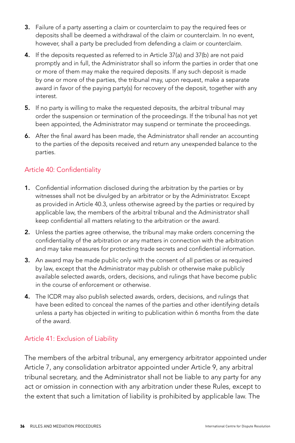- <span id="page-35-0"></span>3. Failure of a party asserting a claim or counterclaim to pay the required fees or deposits shall be deemed a withdrawal of the claim or counterclaim. In no event, however, shall a party be precluded from defending a claim or counterclaim.
- 4. If the deposits requested as referred to in Article 37(a) and 37(b) are not paid promptly and in full, the Administrator shall so inform the parties in order that one or more of them may make the required deposits. If any such deposit is made by one or more of the parties, the tribunal may, upon request, make a separate award in favor of the paying party(s) for recovery of the deposit, together with any interest.
- 5. If no party is willing to make the requested deposits, the arbitral tribunal may order the suspension or termination of the proceedings. If the tribunal has not yet been appointed, the Administrator may suspend or terminate the proceedings.
- 6. After the final award has been made, the Administrator shall render an accounting to the parties of the deposits received and return any unexpended balance to the parties.

# Article 40: Confidentiality

- 1. Confidential information disclosed during the arbitration by the parties or by witnesses shall not be divulged by an arbitrator or by the Administrator. Except as provided in Article 40.3, unless otherwise agreed by the parties or required by applicable law, the members of the arbitral tribunal and the Administrator shall keep confidential all matters relating to the arbitration or the award.
- 2. Unless the parties agree otherwise, the tribunal may make orders concerning the confidentiality of the arbitration or any matters in connection with the arbitration and may take measures for protecting trade secrets and confidential information.
- 3. An award may be made public only with the consent of all parties or as required by law, except that the Administrator may publish or otherwise make publicly available selected awards, orders, decisions, and rulings that have become public in the course of enforcement or otherwise.
- 4. The ICDR may also publish selected awards, orders, decisions, and rulings that have been edited to conceal the names of the parties and other identifying details unless a party has objected in writing to publication within 6 months from the date of the award.

# Article 41: Exclusion of Liability

The members of the arbitral tribunal, any emergency arbitrator appointed under Article 7, any consolidation arbitrator appointed under Article 9, any arbitral tribunal secretary, and the Administrator shall not be liable to any party for any act or omission in connection with any arbitration under these Rules, except to the extent that such a limitation of liability is prohibited by applicable law. The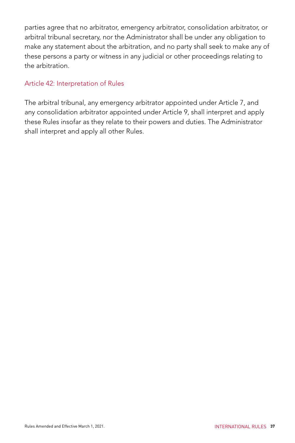<span id="page-36-0"></span>parties agree that no arbitrator, emergency arbitrator, consolidation arbitrator, or arbitral tribunal secretary, nor the Administrator shall be under any obligation to make any statement about the arbitration, and no party shall seek to make any of these persons a party or witness in any judicial or other proceedings relating to the arbitration.

## Article 42: Interpretation of Rules

The arbitral tribunal, any emergency arbitrator appointed under Article 7, and any consolidation arbitrator appointed under Article 9, shall interpret and apply these Rules insofar as they relate to their powers and duties. The Administrator shall interpret and apply all other Rules.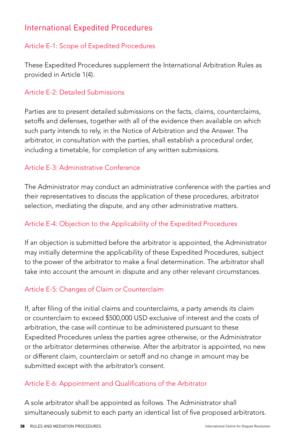# <span id="page-37-0"></span>International Expedited Procedures

# Article E-1: Scope of Expedited Procedures

These Expedited Procedures supplement the International Arbitration Rules as provided in Article 1(4).

# Article E-2: Detailed Submissions

Parties are to present detailed submissions on the facts, claims, counterclaims, setoffs and defenses, together with all of the evidence then available on which such party intends to rely, in the Notice of Arbitration and the Answer. The arbitrator, in consultation with the parties, shall establish a procedural order, including a timetable, for completion of any written submissions.

# Article E-3: Administrative Conference

The Administrator may conduct an administrative conference with the parties and their representatives to discuss the application of these procedures, arbitrator selection, mediating the dispute, and any other administrative matters.

# Article E-4: Objection to the Applicability of the Expedited Procedures

If an objection is submitted before the arbitrator is appointed, the Administrator may initially determine the applicability of these Expedited Procedures, subject to the power of the arbitrator to make a final determination. The arbitrator shall take into account the amount in dispute and any other relevant circumstances.

# Article E-5: Changes of Claim or Counterclaim

If, after filing of the initial claims and counterclaims, a party amends its claim or counterclaim to exceed \$500,000 USD exclusive of interest and the costs of arbitration, the case will continue to be administered pursuant to these Expedited Procedures unless the parties agree otherwise, or the Administrator or the arbitrator determines otherwise. After the arbitrator is appointed, no new or different claim, counterclaim or setoff and no change in amount may be submitted except with the arbitrator's consent.

# Article E-6: Appointment and Qualifications of the Arbitrator

A sole arbitrator shall be appointed as follows. The Administrator shall simultaneously submit to each party an identical list of five proposed arbitrators.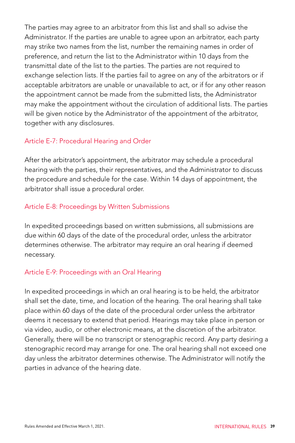<span id="page-38-0"></span>The parties may agree to an arbitrator from this list and shall so advise the Administrator. If the parties are unable to agree upon an arbitrator, each party may strike two names from the list, number the remaining names in order of preference, and return the list to the Administrator within 10 days from the transmittal date of the list to the parties. The parties are not required to exchange selection lists. If the parties fail to agree on any of the arbitrators or if acceptable arbitrators are unable or unavailable to act, or if for any other reason the appointment cannot be made from the submitted lists, the Administrator may make the appointment without the circulation of additional lists. The parties will be given notice by the Administrator of the appointment of the arbitrator, together with any disclosures.

# Article E-7: Procedural Hearing and Order

After the arbitrator's appointment, the arbitrator may schedule a procedural hearing with the parties, their representatives, and the Administrator to discuss the procedure and schedule for the case. Within 14 days of appointment, the arbitrator shall issue a procedural order.

## Article E-8: Proceedings by Written Submissions

In expedited proceedings based on written submissions, all submissions are due within 60 days of the date of the procedural order, unless the arbitrator determines otherwise. The arbitrator may require an oral hearing if deemed necessary.

# Article E-9: Proceedings with an Oral Hearing

In expedited proceedings in which an oral hearing is to be held, the arbitrator shall set the date, time, and location of the hearing. The oral hearing shall take place within 60 days of the date of the procedural order unless the arbitrator deems it necessary to extend that period. Hearings may take place in person or via video, audio, or other electronic means, at the discretion of the arbitrator. Generally, there will be no transcript or stenographic record. Any party desiring a stenographic record may arrange for one. The oral hearing shall not exceed one day unless the arbitrator determines otherwise. The Administrator will notify the parties in advance of the hearing date.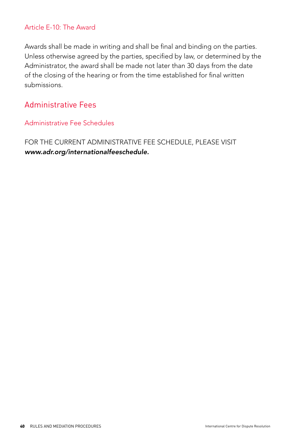#### <span id="page-39-0"></span>Article E-10: The Award

Awards shall be made in writing and shall be final and binding on the parties. Unless otherwise agreed by the parties, specified by law, or determined by the Administrator, the award shall be made not later than 30 days from the date of the closing of the hearing or from the time established for final written submissions.

# Administrative Fees

Administrative Fee Schedules

FOR THE CURRENT ADMINISTRATIVE FEE SCHEDULE, PLEASE VISIT *www.adr.org/internationalfeeschedule.*